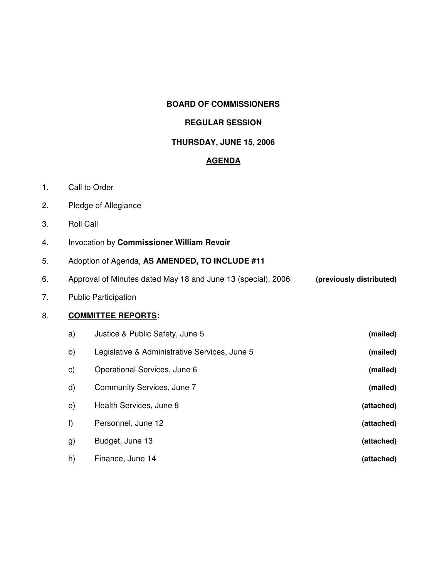#### **BOARD OF COMMISSIONERS**

## **REGULAR SESSION**

## **THURSDAY, JUNE 15, 2006**

#### **AGENDA**

- 1. Call to Order
- 2. Pledge of Allegiance
- 3. Roll Call
- 4. Invocation by **Commissioner William Revoir**
- 5. Adoption of Agenda, **AS AMENDED, TO INCLUDE #11**
- 6. Approval of Minutes dated May 18 and June 13 (special), 2006 **(previously distributed)**
- 7. Public Participation

## 8. **COMMITTEE REPORTS:**

| (mailed)   | Justice & Public Safety, June 5               | a)           |
|------------|-----------------------------------------------|--------------|
| (mailed)   | Legislative & Administrative Services, June 5 | b)           |
| (mailed)   | Operational Services, June 6                  | $\mathsf{c}$ |
| (mailed)   | Community Services, June 7                    | $\mathsf{d}$ |
| (attached) | Health Services, June 8                       | e)           |
| (attached) | Personnel, June 12                            | f)           |
| (attached) | Budget, June 13                               | g)           |
| (attached) | Finance, June 14                              | h)           |